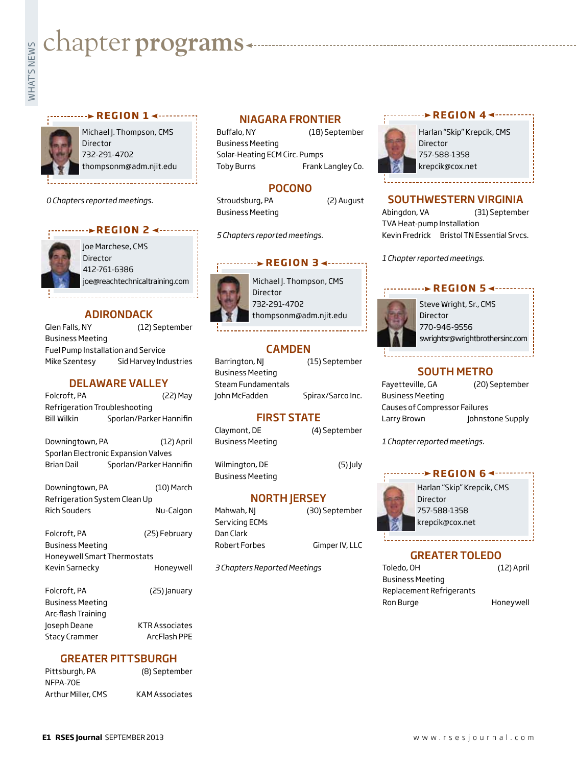# **whater programs**<br>Example:<br>Fig. 1

## **REGION 14 - - - - - - - -**



Michael J. Thompson, CMS Director 732-291-4702 thompsonm@adm.njit.edu

*0 Chapters reported meetings.*

# **REGION 2 ← ·········**



Joe Marchese, CMS Director 412-761-6386 joe@reachtechnicaltraining.com

# ADIRONDACK

Glen Falls, NY (12) September Business Meeting Fuel Pump Installation and Service Mike Szentesy Sid Harvey Industries

# DELAWARE VALLEY

| Folcroft, PA                        | (22) May                |
|-------------------------------------|-------------------------|
| Refrigeration Troubleshooting       |                         |
| <b>Bill Wilkin</b>                  | Sporlan/Parker Hannifin |
| Downingtown, PA                     | (12) April              |
| Sporlan Electronic Expansion Valves |                         |
| <b>Brian Dail</b>                   | Sporlan/Parker Hannifin |
| Downingtown, PA                     | (10) March              |
| Refrigeration System Clean Up       |                         |
| <b>Rich Souders</b>                 | Nu-Calgon               |
| Folcroft, PA                        | (25) February           |
| <b>Business Meeting</b>             |                         |
| Honeywell Smart Thermostats         |                         |
| Kevin Sarnecky                      | Honeywell               |
| Folcroft, PA                        | (25) January            |
| <b>Business Meeting</b>             |                         |
| Arc-flash Training                  |                         |
| Joseph Deane                        | KTR Associates          |
| <b>Stacy Crammer</b>                | ArcFlash PPE            |

# GREATER PITTSBURGH

| Pittsburgh, PA     | (8) September         |
|--------------------|-----------------------|
| NFPA-70E           |                       |
| Arthur Miller, CMS | <b>KAM Associates</b> |

# NIAGARA FRONTIER

Buffalo, NY (18) September Business Meeting Solar-Heating ECM Circ. Pumps Toby Burns Frank Langley Co.

# POCONO

Stroudsburg, PA (2) August Business Meeting

*5 Chapters reported meetings.*

# **REGION 34 ------**

Michael J. Thompson, CMS Director 732-291-4702 thompsonm@adm.njit.edu

# CAMDEN

| Barrington, NJ     | (15) September    |
|--------------------|-------------------|
| Business Meeting   |                   |
| Steam Fundamentals |                   |
| John McFadden      | Spirax/Sarco Inc. |

# FIRST STATE

Claymont, DE (4) September Business Meeting

Wilmington, DE (5) July Business Meeting

# NORTH JERSEY

| Mahwah, NJ     | (30) September |
|----------------|----------------|
| Servicing ECMs |                |
| Dan Clark      |                |
| Robert Forbes  | Gimper IV, LLC |
|                |                |

*3 Chapters Reported Meetings*

# **REGION 44 --------**



Harlan "Skip" Krepcik, CMS 757-588-1358 krepcik@cox.net

# SOUTHWESTERN VIRGINIA

Abingdon, VA (31) September TVA Heat-pump Installation Kevin Fredrick Bristol TN Essential Srvcs.

*1 Chapter reported meetings.*

# **REGION 5 <------**



Steve Wright, Sr., CMS Director 770-946-9556 swrightsr@wrightbrothersinc.com

# SOUTH METRO

| Fayetteville, GA                     | (20) September   |
|--------------------------------------|------------------|
| <b>Business Meeting</b>              |                  |
| <b>Causes of Compressor Failures</b> |                  |
| Larry Brown                          | Johnstone Supply |

*1 Chapter reported meetings.*

# **REGION 64 -------**



Harlan "Skip" Krepcik, CMS Director 757-588-1358 krepcik@cox.net

# GREATER TOLEDO

Toledo, OH (12) April Business Meeting Replacement Refrigerants Ron Burge **Honeywell**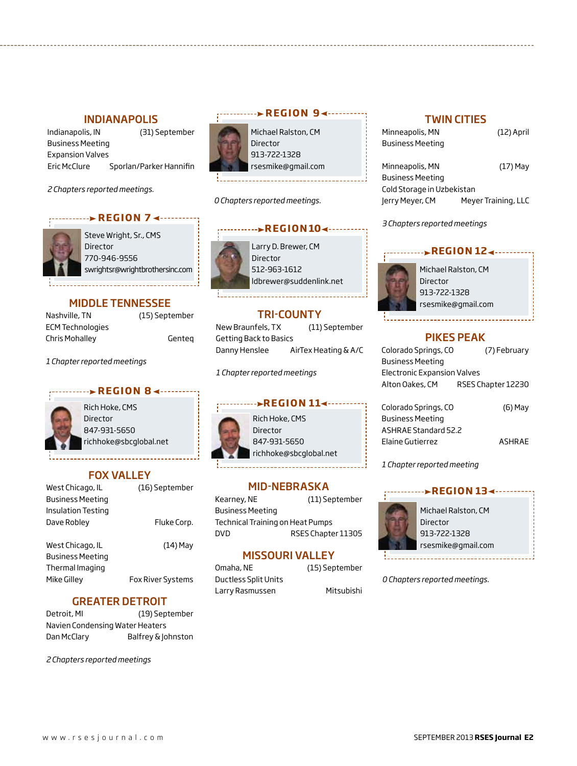# INDIANAPOLIS

Indianapolis, IN (31) September Business Meeting Expansion Valves Eric McClure Sporlan/Parker Hannifin

*2 Chapters reported meetings.*

# *REGION 7*



Steve Wright, Sr., CMS Director 770-946-9556 swrightsr@wrightbrothersinc.com

# MIDDLE TENNESSEE

| Nashville, TN           | (15) September |
|-------------------------|----------------|
| <b>ECM Technologies</b> |                |
| Chris Mohalley          | Gentea         |

*1 Chapter reported meetings*

# **REGION 84 -------**

Rich Hoke, CMS Director 847-931-5650 richhoke@sbcglobal.net

# FOX VALLEY

| West Chicago, IL          | (16) September    |
|---------------------------|-------------------|
| <b>Business Meeting</b>   |                   |
| <b>Insulation Testing</b> |                   |
| Dave Robley               | Fluke Corp.       |
|                           |                   |
| West Chicago, IL          | (14) May          |
| <b>Business Meeting</b>   |                   |
| Thermal Imaging           |                   |
| Mike Gillev               | Fox River Systems |
|                           |                   |

# GREATER DETROIT

Detroit, MI (19) September Navien Condensing Water Heaters Dan McClary Balfrey & Johnston

*2 Chapters reported meetings*



Michael Ralston, CM Director 913-722-1328 rsesmike@gmail.com

*0 Chapters reported meetings.*

# Larry D. Brewer, CM Director 512-963-1612 ldbrewer@suddenlink.net  $R E G I ON 10$

# TRI-COUNTY

New Braunfels, TX (11) September Getting Back to Basics Danny Henslee AirTex Heating & A/C

*1 Chapter reported meetings*



# MID-NEBRASKA

Kearney, NE (11) September Business Meeting Technical Training on Heat Pumps DVD RSES Chapter 11305

# MISSOURI VALLEY

| Omaha, NE                   |  |
|-----------------------------|--|
| <b>Ductless Split Units</b> |  |
| Larry Rasmussen             |  |

(15) September Mitsubishi

# TWIN CITIES

Minneapolis, MN (12) April Business Meeting

Minneapolis, MN (17) May Business Meeting Cold Storage in Uzbekistan Jerry Meyer, CM Meyer Training, LLC

### *3 Chapters reported meetings*

# **REGION 124 - ... . . . . . . .**



Michael Ralston, CM Director 913-722-1328 rsesmike@gmail.com

# Pikes Peak

| Colorado Springs, CO               | (7) February       |
|------------------------------------|--------------------|
| <b>Business Meeting</b>            |                    |
| <b>Electronic Expansion Valves</b> |                    |
| Alton Oakes, CM                    | RSES Chapter 12230 |
|                                    |                    |

Colorado Springs, CO (6) May Business Meeting ASHRAE Standard 52.2 Elaine Gutierrez ASHRAE

*1 Chapter reported meeting*



Director 913-722-1328 rsesmike@gmail.com

*0 Chapters reported meetings.*